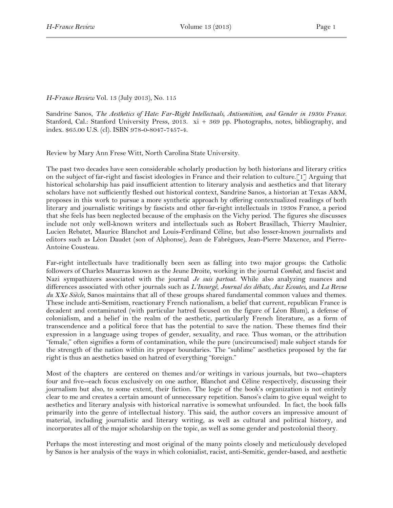## *H-France Review* Vol. 13 (July 2013), No. 115

Sandrine Sanos, *The Aesthetics of Hate: Far-Right Intellectuals, Antisemitism, and Gender in 1930s France.*  Stanford, Cal.: Stanford University Press, 2013. xi + 369 pp. Photographs, notes, bibliography, and index. \$65.00 U.S. (cl). ISBN 978-0-8047-7457-4.

Review by Mary Ann Frese Witt, North Carolina State University.

The past two decades have seen considerable scholarly production by both historians and literary critics on the subject of far-right and fascist ideologies in France and their relation to culture.[1] Arguing that historical scholarship has paid insufficient attention to literary analysis and aesthetics and that literary scholars have not sufficiently fleshed out historical context, Sandrine Sanos, a historian at Texas A&M, proposes in this work to pursue a more synthetic approach by offering contextualized readings of both literary and journalistic writings by fascists and other far-right intellectuals in 1930s France, a period that she feels has been neglected because of the emphasis on the Vichy period. The figures she discusses include not only well-known writers and intellectuals such as Robert Brasillach, Thierry Maulnier, Lucien Rebatet, Maurice Blanchot and Louis-Ferdinand Céline, but also lesser-known journalists and editors such as Léon Daudet (son of Alphonse), Jean de Fabrègues, Jean-Pierre Maxence, and Pierre-Antoine Cousteau.

Far-right intellectuals have traditionally been seen as falling into two major groups: the Catholic followers of Charles Maurras known as the Jeune Droite, working in the journal *Combat*, and fascist and Nazi sympathizers associated with the journal *Je suis partout*. While also analyzing nuances and differences associated with other journals such as *L'Insurgé*, *Journal des débats, Aux Ecoutes,* and *La Revue du XXe Siècle*, Sanos maintains that all of these groups shared fundamental common values and themes. These include anti-Semitism, reactionary French nationalism, a belief that current, republican France is decadent and contaminated (with particular hatred focused on the figure of Léon Blum), a defense of colonialism, and a belief in the realm of the aesthetic, particularly French literature, as a form of transcendence and a political force that has the potential to save the nation. These themes find their expression in a language using tropes of gender, sexuality, and race. Thus woman, or the attribution "female," often signifies a form of contamination, while the pure (uncircumcised) male subject stands for the strength of the nation within its proper boundaries. The "sublime" aesthetics proposed by the far right is thus an aesthetics based on hatred of everything "foreign."

Most of the chapters are centered on themes and/or writings in various journals, but two--chapters four and five--each focus exclusively on one author, Blanchot and Céline respectively, discussing their journalism but also, to some extent, their fiction. The logic of the book's organization is not entirely clear to me and creates a certain amount of unnecessary repetition. Sanos's claim to give equal weight to aesthetics and literary analysis with historical narrative is somewhat unfounded. In fact, the book falls primarily into the genre of intellectual history. This said, the author covers an impressive amount of material, including journalistic and literary writing, as well as cultural and political history, and incorporates all of the major scholarship on the topic, as well as some gender and postcolonial theory.

Perhaps the most interesting and most original of the many points closely and meticulously developed by Sanos is her analysis of the ways in which colonialist, racist, anti-Semitic, gender-based, and aesthetic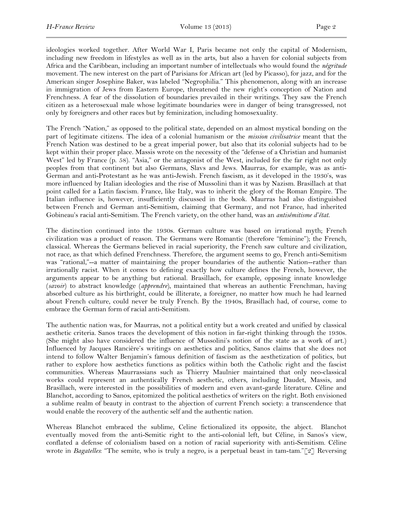ideologies worked together. After World War I, Paris became not only the capital of Modernism, including new freedom in lifestyles as well as in the arts, but also a haven for colonial subjects from Africa and the Caribbean, including an important number of intellectuals who would found the *négritude*  movement. The new interest on the part of Parisians for African art (led by Picasso), for jazz, and for the American singer Josephine Baker, was labeled "Negrophilia." This phenomenon, along with an increase in immigration of Jews from Eastern Europe, threatened the new right's conception of Nation and Frenchness. A fear of the dissolution of boundaries prevailed in their writings. They saw the French citizen as a heterosexual male whose legitimate boundaries were in danger of being transgressed, not only by foreigners and other races but by feminization, including homosexuality.

The French "Nation," as opposed to the political state, depended on an almost mystical bonding on the part of legitimate citizens. The idea of a colonial humanism or the *mission civilisatrice* meant that the French Nation was destined to be a great imperial power, but also that its colonial subjects had to be kept within their proper place. Massis wrote on the necessity of the "defense of a Christian and humanist West" led by France (p. 58). "Asia," or the antagonist of the West, included for the far right not only peoples from that continent but also Germans, Slavs and Jews. Maurras, for example, was as anti-German and anti-Protestant as he was anti-Jewish. French fascism, as it developed in the 1930's, was more influenced by Italian ideologies and the rise of Mussolini than it was by Nazism. Brasillach at that point called for a Latin fascism. France, like Italy, was to inherit the glory of the Roman Empire. The Italian influence is, however, insufficiently discussed in the book. Maurras had also distinguished between French and German anti-Semitism, claiming that Germany, and not France, had inherited Gobineau's racial anti-Semitism. The French variety, on the other hand, was an *antisémitisme d'état.* 

The distinction continued into the 1930s. German culture was based on irrational myth; French civilization was a product of reason. The Germans were Romantic (therefore "feminine"); the French, classical. Whereas the Germans believed in racial superiority, the French saw culture and civilization, not race, as that which defined Frenchness. Therefore, the argument seems to go, French anti-Semitism was "rational,"--a matter of maintaining the proper boundaries of the authentic Nation--rather than irrationally racist. When it comes to defining exactly how culture defines the French, however, the arguments appear to be anything but rational. Brasillach, for example, opposing innate knowledge (*savoir*) to abstract knowledge (*apprendre*), maintained that whereas an authentic Frenchman, having absorbed culture as his birthright, could be illiterate, a foreigner, no matter how much he had learned about French culture, could never be truly French. By the 1940s, Brasillach had, of course, come to embrace the German form of racial anti-Semitism.

The authentic nation was, for Maurras, not a political entity but a work created and unified by classical aesthetic criteria. Sanos traces the development of this notion in far-right thinking through the 1930s. (She might also have considered the influence of Mussolini's notion of the state as a work of art.) Influenced by Jacques Rancière's writings on aesthetics and politics, Sanos claims that she does not intend to follow Walter Benjamin's famous definition of fascism as the aesthetization of politics, but rather to explore how aesthetics functions as politics within both the Catholic right and the fascist communities. Whereas Maurrassians such as Thierry Maulnier maintained that only neo-classical works could represent an authentically French aesthetic, others, including Daudet, Massis, and Brasillach, were interested in the possibilities of modern and even avant-garde literature. Céline and Blanchot, according to Sanos, epitomized the political aesthetics of writers on the right. Both envisioned a sublime realm of beauty in contrast to the abjection of current French society: a transcendence that would enable the recovery of the authentic self and the authentic nation.

Whereas Blanchot embraced the sublime, Celine fictionalized its opposite, the abject. Blanchot eventually moved from the anti-Semitic right to the anti-colonial left, but Céline, in Sanos's view, conflated a defense of colonialism based on a notion of racial superiority with anti-Semitism. Céline wrote in *Bagatelles*: "The semite, who is truly a negro, is a perpetual beast in tam-tam."[2] Reversing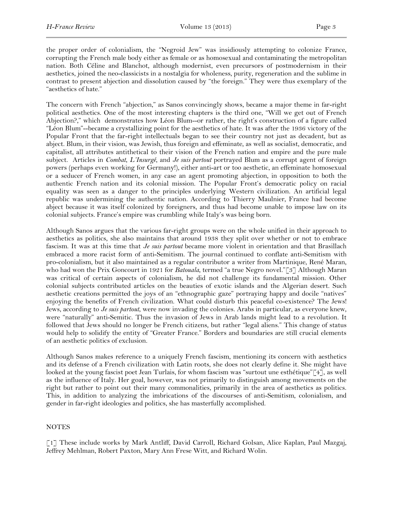the proper order of colonialism, the "Negroid Jew" was insidiously attempting to colonize France, corrupting the French male body either as female or as homosexual and contaminating the metropolitan nation. Both Céline and Blanchot, although modernist, even precursors of postmodernism in their aesthetics, joined the neo-classicists in a nostalgia for wholeness, purity, regeneration and the sublime in contrast to present abjection and dissolution caused by "the foreign." They were thus exemplary of the "aesthetics of hate."

The concern with French "abjection," as Sanos convincingly shows, became a major theme in far-right political aesthetics. One of the most interesting chapters is the third one, "Will we get out of French Abjection?," which demonstrates how Léon Blum--or rather, the right's construction of a figure called "Léon Blum"--became a crystallizing point for the aesthetics of hate. It was after the 1936 victory of the Popular Front that the far-right intellectuals began to see their country not just as decadent, but as abject. Blum, in their vision, was Jewish, thus foreign and effeminate, as well as socialist, democratic, and capitalist, all attributes antithetical to their vision of the French nation and empire and the pure male subject. Articles in *Combat*, *L'Insurgé*, and *Je suis partout* portrayed Blum as a corrupt agent of foreign powers (perhaps even working for Germany!), either anti-art or too aesthetic, an effeminate homosexual or a seducer of French women, in any case an agent promoting abjection, in opposition to both the authentic French nation and its colonial mission. The Popular Front's democratic policy on racial equality was seen as a danger to the principles underlying Western civilization. An artificial legal republic was undermining the authentic nation. According to Thierry Maulnier, France had become abject because it was itself colonized by foreigners, and thus had become unable to impose law on its colonial subjects. France's empire was crumbling while Italy's was being born.

Although Sanos argues that the various far-right groups were on the whole unified in their approach to aesthetics as politics, she also maintains that around 1938 they split over whether or not to embrace fascism. It was at this time that *Je suis partout* became more violent in orientation and that Brasillach embraced a more racist form of anti-Semitism. The journal continued to conflate anti-Semitism with pro-colonialism, but it also maintained as a regular contributor a writer from Martinique, René Maran, who had won the Prix Goncourt in 1921 for *Batouala*, termed "a true Negro novel."[3] Although Maran was critical of certain aspects of colonialism, he did not challenge its fundamental mission. Other colonial subjects contributed articles on the beauties of exotic islands and the Algerian desert. Such aesthetic creations permitted the joys of an "ethnographic gaze" portraying happy and docile "natives" enjoying the benefits of French civilization. What could disturb this peaceful co-existence? The Jews! Jews, according to *Je suis partout*, were now invading the colonies. Arabs in particular, as everyone knew, were "naturally" anti-Semitic. Thus the invasion of Jews in Arab lands might lead to a revolution. It followed that Jews should no longer be French citizens, but rather "legal aliens." This change of status would help to solidify the entity of "Greater France." Borders and boundaries are still crucial elements of an aesthetic politics of exclusion.

Although Sanos makes reference to a uniquely French fascism, mentioning its concern with aesthetics and its defense of a French civilization with Latin roots, she does not clearly define it. She might have looked at the young fascist poet Jean Turlais, for whom fascism was "surtout une esthétique"[4], as well as the influence of Italy. Her goal, however, was not primarily to distinguish among movements on the right but rather to point out their many commonalities, primarily in the area of aesthetics as politics. This, in addition to analyzing the imbrications of the discourses of anti-Semitism, colonialism, and gender in far-right ideologies and politics, she has masterfully accomplished.

## **NOTES**

[1] These include works by Mark Antliff, David Carroll, Richard Golsan, Alice Kaplan, Paul Mazgaj, Jeffrey Mehlman, Robert Paxton, Mary Ann Frese Witt, and Richard Wolin.